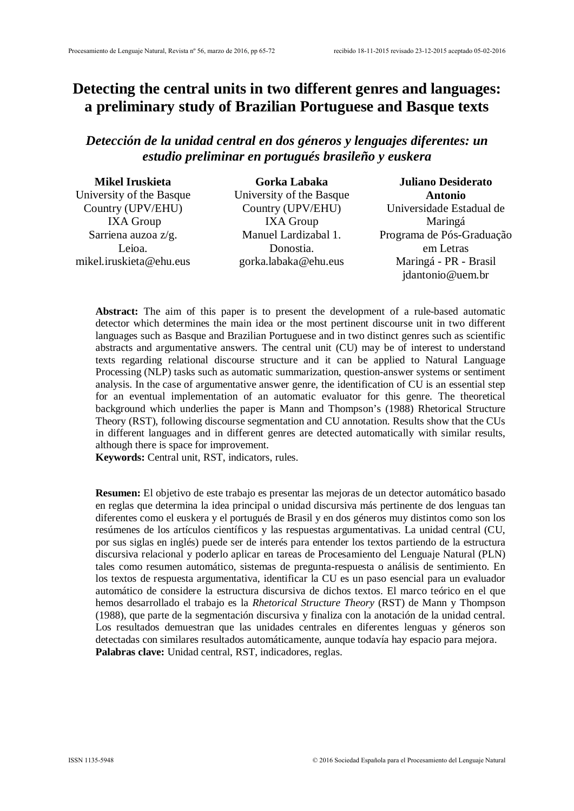# **Detecting the central units in two different genres and languages: a preliminary study of Brazilian Portuguese and Basque texts**

# *Detección de la unidad central en dos géneros y lenguajes diferentes: un estudio preliminar en portugués brasileño y euskera*

| <b>Mikel Iruskieta</b>   | Gorka Labaka             | <b>Juliano Desiderato</b> |  |  |
|--------------------------|--------------------------|---------------------------|--|--|
| University of the Basque | University of the Basque | <b>Antonio</b>            |  |  |
| Country (UPV/EHU)        | Country (UPV/EHU)        | Universidade Estadual de  |  |  |
| <b>IXA Group</b>         | <b>IXA Group</b>         | Maringá                   |  |  |
| Sarriena auzoa z/g.      | Manuel Lardizabal 1.     | Programa de Pós-Graduação |  |  |
| Leioa.                   | Donostia.                | em Letras                 |  |  |
| mikel.iruskieta@ehu.eus  | gorka.labaka@ehu.eus     | Maringá - PR - Brasil     |  |  |
|                          |                          | idantonio@uem.br          |  |  |

**Abstract:** The aim of this paper is to present the development of a rule-based automatic detector which determines the main idea or the most pertinent discourse unit in two different languages such as Basque and Brazilian Portuguese and in two distinct genres such as scientific abstracts and argumentative answers. The central unit (CU) may be of interest to understand texts regarding relational discourse structure and it can be applied to Natural Language Processing (NLP) tasks such as automatic summarization, question-answer systems or sentiment analysis. In the case of argumentative answer genre, the identification of CU is an essential step for an eventual implementation of an automatic evaluator for this genre. The theoretical background which underlies the paper is Mann and Thompson's (1988) Rhetorical Structure Theory (RST), following discourse segmentation and CU annotation. Results show that the CUs in different languages and in different genres are detected automatically with similar results, although there is space for improvement.

**Keywords:** Central unit, RST, indicators, rules.

**Resumen:** El objetivo de este trabajo es presentar las mejoras de un detector automático basado en reglas que determina la idea principal o unidad discursiva más pertinente de dos lenguas tan diferentes como el euskera y el portugués de Brasil y en dos géneros muy distintos como son los resúmenes de los artículos científicos y las respuestas argumentativas. La unidad central (CU, por sus siglas en inglés) puede ser de interés para entender los textos partiendo de la estructura discursiva relacional y poderlo aplicar en tareas de Procesamiento del Lenguaje Natural (PLN) tales como resumen automático, sistemas de pregunta-respuesta o análisis de sentimiento. En los textos de respuesta argumentativa, identificar la CU es un paso esencial para un evaluador automático de considere la estructura discursiva de dichos textos. El marco teórico en el que hemos desarrollado el trabajo es la *Rhetorical Structure Theory* (RST) de Mann y Thompson (1988), que parte de la segmentación discursiva y finaliza con la anotación de la unidad central. Los resultados demuestran que las unidades centrales en diferentes lenguas y géneros son detectadas con similares resultados automáticamente, aunque todavía hay espacio para mejora. **Palabras clave:** Unidad central, RST, indicadores, reglas.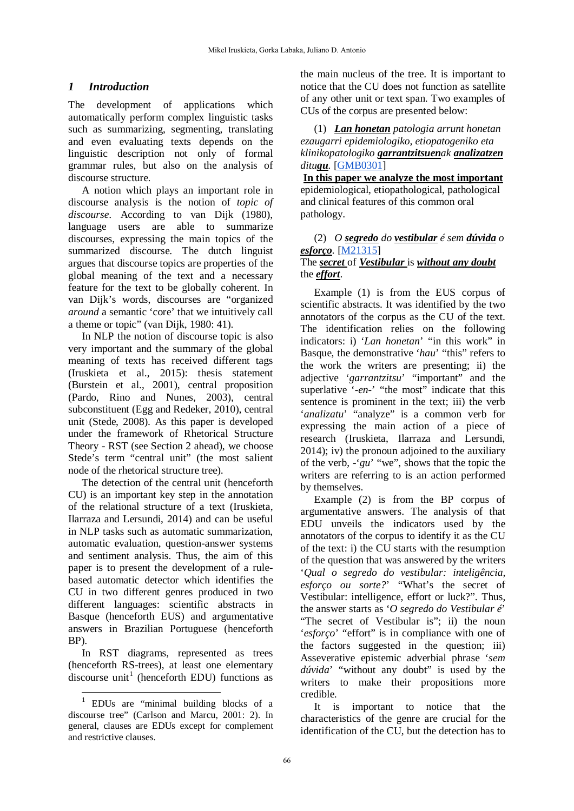# *1 Introduction*

The development of applications which automatically perform complex linguistic tasks such as summarizing, segmenting, translating and even evaluating texts depends on the linguistic description not only of formal grammar rules, but also on the analysis of discourse structure.

A notion which plays an important role in discourse analysis is the notion of *topic of discourse*. According to van Dijk (1980), language users are able to summarize discourses, expressing the main topics of the summarized discourse. The dutch linguist argues that discourse topics are properties of the global meaning of the text and a necessary feature for the text to be globally coherent. In van Dijk's words, discourses are "organized *around* a semantic 'core' that we intuitively call a theme or topic" (van Dijk, 1980: 41).

In NLP the notion of discourse topic is also very important and the summary of the global meaning of texts has received different tags (Iruskieta et al., 2015): thesis statement (Burstein et al., 2001), central proposition (Pardo, Rino and Nunes, 2003), central subconstituent (Egg and Redeker, 2010), central unit (Stede, 2008). As this paper is developed under the framework of Rhetorical Structure Theory - RST (see Section 2 ahead), we choose Stede's term "central unit" (the most salient node of the rhetorical structure tree).

The detection of the central unit (henceforth CU) is an important key step in the annotation of the relational structure of a text (Iruskieta, Ilarraza and Lersundi, 2014) and can be useful in NLP tasks such as automatic summarization, automatic evaluation, question-answer systems and sentiment analysis. Thus, the aim of this paper is to present the development of a rulebased automatic detector which identifies the CU in two different genres produced in two different languages: scientific abstracts in Basque (henceforth EUS) and argumentative answers in Brazilian Portuguese (henceforth BP).

In RST diagrams, represented as trees (henceforth RS-trees), at least one elementary discourse unit<sup>[1](#page-1-0)</sup> (henceforth EDU) functions as

 $\overline{a}$ 

the main nucleus of the tree. It is important to notice that the CU does not function as satellite of any other unit or text span. Two examples of CUs of the corpus are presented below:

(1) *Lan honetan patologia arrunt honetan ezaugarri epidemiologiko, etiopatogeniko eta klinikopatologiko garrantzitsuenak analizatzen ditugu.* [\[GMB0301\]](http://ixa2.si.ehu.es/diskurtsoa/segmentuak.php?bilatzekoa=GMB0301-GS.rs3)

**In this paper we analyze the most important** epidemiological, etiopathological, pathological and clinical features of this common oral pathology.

### (2) *O segredo do vestibular é sem dúvida o esforço.* [\[M21315\]](http://ixa2.si.ehu.es/rst/pt/segmentuak_multiling.php?bilatzekoa=M21315seg-GS.rs3) The *secret* of *Vestibular* is *without any doubt* the *effort*.

Example (1) is from the EUS corpus of scientific abstracts. It was identified by the two annotators of the corpus as the CU of the text. The identification relies on the following indicators: i) '*Lan honetan*' "in this work" in Basque, the demonstrative '*hau*' "this" refers to the work the writers are presenting; ii) the adjective '*garrantzitsu*' "important" and the superlative '-en-' "the most" indicate that this sentence is prominent in the text; iii) the verb '*analizatu*' "analyze" is a common verb for expressing the main action of a piece of research (Iruskieta, Ilarraza and Lersundi, 2014); iv) the pronoun adjoined to the auxiliary of the verb, -'*gu*' "we", shows that the topic the writers are referring to is an action performed by themselves.

Example (2) is from the BP corpus of argumentative answers. The analysis of that EDU unveils the indicators used by the annotators of the corpus to identify it as the CU of the text: i) the CU starts with the resumption of the question that was answered by the writers '*Qual o segredo do vestibular: inteligência, esforço ou sorte?*' "What's the secret of Vestibular: intelligence, effort or luck?". Thus, the answer starts as '*O segredo do Vestibular é*' "The secret of Vestibular is"; ii) the noun '*esforço*' "effort" is in compliance with one of the factors suggested in the question; iii) Asseverative epistemic adverbial phrase '*sem dúvida*' "without any doubt" is used by the writers to make their propositions more credible.

It is important to notice that the characteristics of the genre are crucial for the identification of the CU, but the detection has to

<span id="page-1-0"></span><sup>1</sup> EDUs are "minimal building blocks of a discourse tree" (Carlson and Marcu, 2001: 2). In general, clauses are EDUs except for complement and restrictive clauses.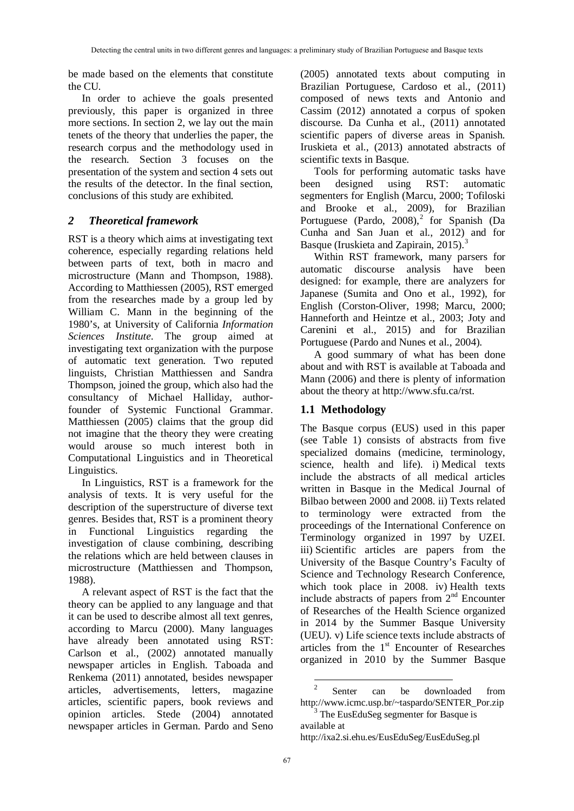be made based on the elements that constitute the CU.

In order to achieve the goals presented previously, this paper is organized in three more sections. In section 2, we lay out the main tenets of the theory that underlies the paper, the research corpus and the methodology used in the research. Section 3 focuses on the presentation of the system and section 4 sets out the results of the detector. In the final section, conclusions of this study are exhibited.

# *2 Theoretical framework*

RST is a theory which aims at investigating text coherence, especially regarding relations held between parts of text, both in macro and microstructure (Mann and Thompson, 1988). According to Matthiessen (2005), RST emerged from the researches made by a group led by William C. Mann in the beginning of the 1980's, at University of California *Information Sciences Institute*. The group aimed at investigating text organization with the purpose of automatic text generation. Two reputed linguists, Christian Matthiessen and Sandra Thompson, joined the group, which also had the consultancy of Michael Halliday, authorfounder of Systemic Functional Grammar. Matthiessen (2005) claims that the group did not imagine that the theory they were creating would arouse so much interest both in Computational Linguistics and in Theoretical Linguistics.

In Linguistics, RST is a framework for the analysis of texts. It is very useful for the description of the superstructure of diverse text genres. Besides that, RST is a prominent theory in Functional Linguistics regarding the investigation of clause combining, describing the relations which are held between clauses in microstructure (Matthiessen and Thompson, 1988).

<span id="page-2-1"></span><span id="page-2-0"></span>A relevant aspect of RST is the fact that the theory can be applied to any language and that it can be used to describe almost all text genres, according to Marcu (2000). Many languages have already been annotated using RST: Carlson et al., (2002) annotated manually newspaper articles in English. Taboada and Renkema (2011) annotated, besides newspaper articles, advertisements, letters, magazine articles, scientific papers, book reviews and opinion articles. Stede (2004) annotated newspaper articles in German. Pardo and Seno (2005) annotated texts about computing in Brazilian Portuguese, Cardoso et al., (2011) composed of news texts and Antonio and Cassim (2012) annotated a corpus of spoken discourse. Da Cunha et al., (2011) annotated scientific papers of diverse areas in Spanish. Iruskieta et al., (2013) annotated abstracts of scientific texts in Basque.

Tools for performing automatic tasks have been designed using RST: automatic segmenters for English (Marcu, 2000; Tofiloski and Brooke et al., 2009), for Brazilian Portuguese (Pardo,  $2008$  $2008$ ),<sup>2</sup> for Spanish (Da Cunha and San Juan et al., 2012) and for Basque (Iruskieta and Zapirain,  $2015$ ).<sup>[3](#page-2-1)</sup>

Within RST framework, many parsers for automatic discourse analysis have been designed: for example, there are analyzers for Japanese (Sumita and Ono et al., 1992), for English (Corston-Oliver, 1998; Marcu, 2000; Hanneforth and Heintze et al., 2003; Joty and Carenini et al., 2015) and for Brazilian Portuguese (Pardo and Nunes et al., 2004).

A good summary of what has been done about and with RST is available at Taboada and Mann (2006) and there is plenty of information about the theory at [http://www.sfu.ca/rst.](http://www.sfu.ca/rst)

# **1.1 Methodology**

The Basque corpus (EUS) used in this paper (see Table 1) consists of abstracts from five specialized domains (medicine, terminology, science, health and life). i) Medical texts include the abstracts of all medical articles written in Basque in the Medical Journal of Bilbao between 2000 and 2008. ii) Texts related to terminology were extracted from the proceedings of the International Conference on Terminology organized in 1997 by UZEI. iii) Scientific articles are papers from the University of the Basque Country's Faculty of Science and Technology Research Conference, which took place in 2008. iv) Health texts include abstracts of papers from  $2<sup>nd</sup>$  Encounter of Researches of the Health Science organized in 2014 by the Summer Basque University (UEU). v) Life science texts include abstracts of articles from the 1<sup>st</sup> Encounter of Researches organized in 2010 by the Summer Basque

**<sup>.</sup>** Senter can be downloaded from [http://www.icmc.usp.br/~taspardo/SENTER\\_Por.zip](http://www.icmc.usp.br/~taspardo/SENTER_Por.zip)

<sup>&</sup>lt;sup>3</sup> The EusEduSeg segmenter for Basque is available at

<http://ixa2.si.ehu.es/EusEduSeg/EusEduSeg.pl>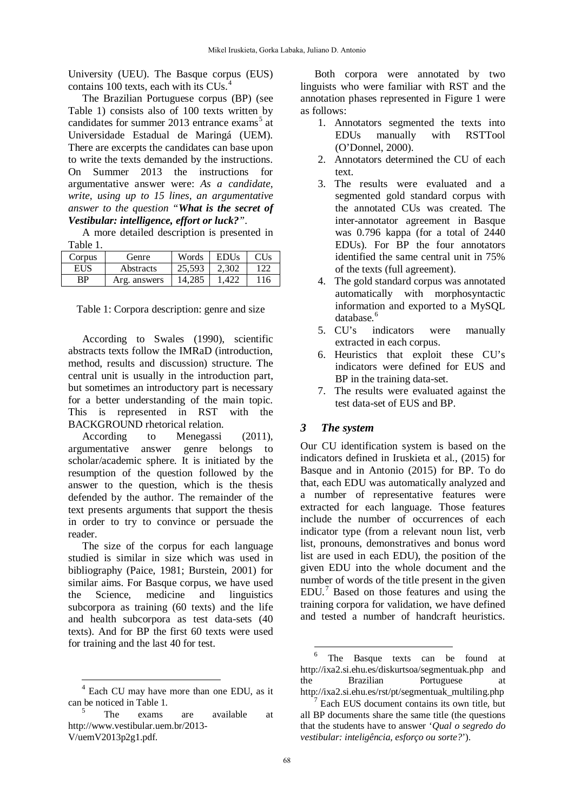University (UEU). The Basque corpus (EUS) contains 100 texts, each with its CUs.<sup>[4](#page-3-0)</sup>

The Brazilian Portuguese corpus (BP) (see Table 1) consists also of 100 texts written by candidates for summer  $2013$  entrance exams<sup>[5](#page-3-1)</sup> at Universidade Estadual de Maringá (UEM). There are excerpts the candidates can base upon to write the texts demanded by the instructions. On Summer 2013 the instructions for argumentative answer were: *As a candidate, write, using up to 15 lines, an argumentative answer to the question "What is the secret of Vestibular: intelligence, effort or luck?"*.

A more detailed description is presented in Table 1.

| Corpus | Genre        | Words  | <b>EDUs</b> |     |
|--------|--------------|--------|-------------|-----|
| EUS    | Abstracts    | 25.593 | 2.302       | 122 |
| ВP     | Arg. answers | 14.285 |             | 116 |

Table 1: Corpora description: genre and size

According to Swales (1990), scientific abstracts texts follow the IMRaD (introduction, method, results and discussion) structure. The central unit is usually in the introduction part, but sometimes an introductory part is necessary for a better understanding of the main topic. This is represented in RST with the BACKGROUND rhetorical relation.

According to Menegassi (2011), argumentative answer genre belongs to scholar/academic sphere. It is initiated by the resumption of the question followed by the answer to the question, which is the thesis defended by the author. The remainder of the text presents arguments that support the thesis in order to try to convince or persuade the reader.

The size of the corpus for each language studied is similar in size which was used in bibliography (Paice, 1981; Burstein, 2001) for similar aims. For Basque corpus, we have used the Science, medicine and linguistics subcorpora as training (60 texts) and the life and health subcorpora as test data-sets (40 texts). And for BP the first 60 texts were used for training and the last 40 for test.

 $\overline{a}$ 

Both corpora were annotated by two linguists who were familiar with RST and the annotation phases represented in Figure 1 were as follows:

- 1. Annotators segmented the texts into EDUs manually with RSTTool (O'Donnel, 2000).
- 2. Annotators determined the CU of each text.
- 3. The results were evaluated and a segmented gold standard corpus with the annotated CUs was created. The inter-annotator agreement in Basque was 0.796 kappa (for a total of 2440 EDUs). For BP the four annotators identified the same central unit in 75% of the texts (full agreement).
- 4. The gold standard corpus was annotated automatically with morphosyntactic information and exported to a MySQL database.<sup>[6](#page-3-2)</sup>
- 5. CU's indicators were manually extracted in each corpus.
- 6. Heuristics that exploit these CU's indicators were defined for EUS and BP in the training data-set.
- 7. The results were evaluated against the test data-set of EUS and BP.

#### *3 The system*

Our CU identification system is based on the indicators defined in Iruskieta et al., (2015) for Basque and in Antonio (2015) for BP. To do that, each EDU was automatically analyzed and a number of representative features were extracted for each language. Those features include the number of occurrences of each indicator type (from a relevant noun list, verb list, pronouns, demonstratives and bonus word list are used in each EDU), the position of the given EDU into the whole document and the number of words of the title present in the given EDU.[7](#page-3-3) Based on those features and using the training corpora for validation, we have defined and tested a number of handcraft heuristics.

**.** 

<span id="page-3-2"></span><span id="page-3-0"></span>Each CU may have more than one EDU, as it can be noticed in Table 1.

<span id="page-3-3"></span><span id="page-3-1"></span>The exams are available a[t](http://www.vestibular.uem.br/2013-V/uemV2013p2g1.pdf) [http://www.vestibular.uem.br/2013-](http://www.vestibular.uem.br/2013-V/uemV2013p2g1.pdf) V/uemV2013p2g1.pdf.

The Basque texts can be found at <http://ixa2.si.ehu.es/diskurtsoa/segmentuak.php> and the Brazilian Portuguese at [http://ixa2.si.ehu.es/rst/pt/segmentuak\\_multiling.php](http://ixa2.si.ehu.es/rst/pt/segmentuak_multiling.php)

Each EUS document contains its own title, but all BP documents share the same title (the questions that the students have to answer '*Qual o segredo do vestibular: inteligência, esforço ou sorte?*').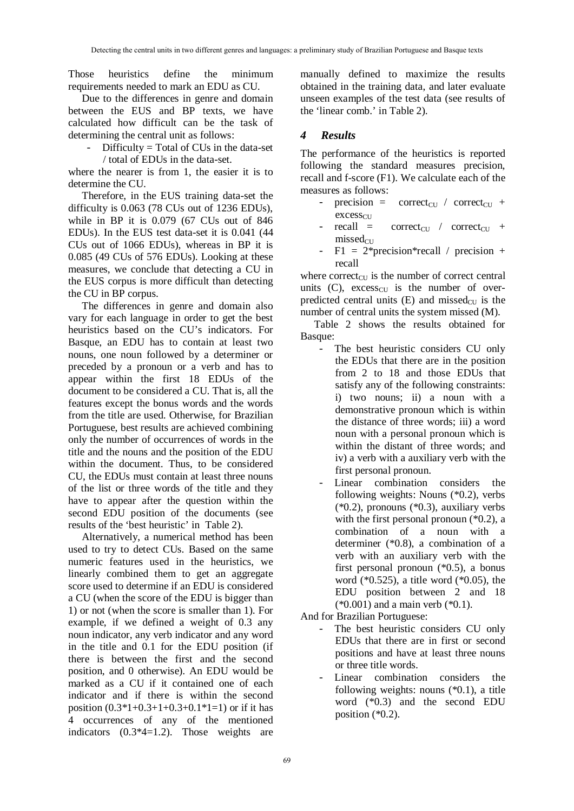Those heuristics define the minimum requirements needed to mark an EDU as CU.

Due to the differences in genre and domain between the EUS and BP texts, we have calculated how difficult can be the task of determining the central unit as follows:

 $-$  Difficulty = Total of CUs in the data-set

/ total of EDUs in the data-set.

where the nearer is from 1, the easier it is to determine the CU.

Therefore, in the EUS training data-set the difficulty is 0.063 (78 CUs out of 1236 EDUs), while in BP it is 0.079 (67 CUs out of 846 EDUs). In the EUS test data-set it is 0.041 (44 CUs out of 1066 EDUs), whereas in BP it is 0.085 (49 CUs of 576 EDUs). Looking at these measures, we conclude that detecting a CU in the EUS corpus is more difficult than detecting the CU in BP corpus.

The differences in genre and domain also vary for each language in order to get the best heuristics based on the CU's indicators. For Basque, an EDU has to contain at least two nouns, one noun followed by a determiner or preceded by a pronoun or a verb and has to appear within the first 18 EDUs of the document to be considered a CU. That is, all the features except the bonus words and the words from the title are used. Otherwise, for Brazilian Portuguese, best results are achieved combining only the number of occurrences of words in the title and the nouns and the position of the EDU within the document. Thus, to be considered CU, the EDUs must contain at least three nouns of the list or three words of the title and they have to appear after the question within the second EDU position of the documents (see results of the 'best heuristic' in Table 2).

Alternatively, a numerical method has been used to try to detect CUs. Based on the same numeric features used in the heuristics, we linearly combined them to get an aggregate score used to determine if an EDU is considered a CU (when the score of the EDU is bigger than 1) or not (when the score is smaller than 1). For example, if we defined a weight of 0.3 any noun indicator, any verb indicator and any word in the title and 0.1 for the EDU position (if there is between the first and the second position, and 0 otherwise). An EDU would be marked as a CU if it contained one of each indicator and if there is within the second position  $(0.3*1+0.3+1+0.3+0.1*1=1)$  or if it has 4 occurrences of any of the mentioned indicators (0.3\*4=1.2). Those weights are manually defined to maximize the results obtained in the training data, and later evaluate unseen examples of the test data (see results of the 'linear comb.' in Table 2).

# *4 Results*

The performance of the heuristics is reported following the standard measures precision, recall and f-score (F1). We calculate each of the measures as follows:

- precision = correct<sub>CU</sub> / correct<sub>CU</sub> +  $excess<sub>CU</sub>$
- $recall = correct_{CU} / correct_{CU} +$  $missed<sub>CU</sub>$
- $-$  F1 = 2\*precision\*recall / precision + recall

where correct $_{\text{CU}}$  is the number of correct central units  $(C)$ , excess<sub>CU</sub> is the number of overpredicted central units  $(E)$  and missed<sub>CU</sub> is the number of central units the system missed (M).

Table 2 shows the results obtained for Basque:

- The best heuristic considers CU only the EDUs that there are in the position from 2 to 18 and those EDUs that satisfy any of the following constraints: i) two nouns; ii) a noun with a demonstrative pronoun which is within the distance of three words; iii) a word noun with a personal pronoun which is within the distant of three words; and iv) a verb with a auxiliary verb with the first personal pronoun.
- Linear combination considers the following weights: Nouns (\*0.2), verbs (\*0.2), pronouns (\*0.3), auxiliary verbs with the first personal pronoun (\*0.2), a combination of a noun with a determiner (\*0.8), a combination of a verb with an auxiliary verb with the first personal pronoun (\*0.5), a bonus word (\*0.525), a title word (\*0.05), the EDU position between 2 and 18  $(*0.001)$  and a main verb  $(*0.1)$ .

And for Brazilian Portuguese:

- The best heuristic considers CU only EDUs that there are in first or second positions and have at least three nouns or three title words.
- Linear combination considers the following weights: nouns (\*0.1), a title word (\*0.3) and the second EDU position  $(*0.2)$ .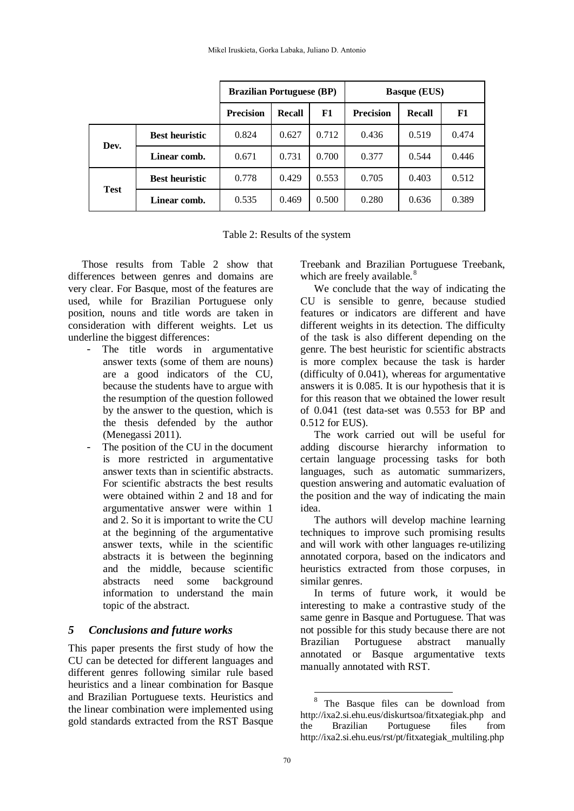|             |                       | <b>Brazilian Portuguese (BP)</b> |               |       | <b>Basque (EUS)</b> |        |       |
|-------------|-----------------------|----------------------------------|---------------|-------|---------------------|--------|-------|
|             |                       | <b>Precision</b>                 | <b>Recall</b> | F1    | <b>Precision</b>    | Recall | F1    |
| Dev.        | <b>Best heuristic</b> | 0.824                            | 0.627         | 0.712 | 0.436               | 0.519  | 0.474 |
|             | Linear comb.          | 0.671                            | 0.731         | 0.700 | 0.377               | 0.544  | 0.446 |
| <b>Test</b> | <b>Best heuristic</b> | 0.778                            | 0.429         | 0.553 | 0.705               | 0.403  | 0.512 |
|             | Linear comb.          | 0.535                            | 0.469         | 0.500 | 0.280               | 0.636  | 0.389 |

Table 2: Results of the system

Those results from Table 2 show that differences between genres and domains are very clear. For Basque, most of the features are used, while for Brazilian Portuguese only position, nouns and title words are taken in consideration with different weights. Let us underline the biggest differences:

- The title words in argumentative answer texts (some of them are nouns) are a good indicators of the CU, because the students have to argue with the resumption of the question followed by the answer to the question, which is the thesis defended by the author (Menegassi 2011).
- The position of the CU in the document is more restricted in argumentative answer texts than in scientific abstracts. For scientific abstracts the best results were obtained within 2 and 18 and for argumentative answer were within 1 and 2. So it is important to write the CU at the beginning of the argumentative answer texts, while in the scientific abstracts it is between the beginning and the middle, because scientific abstracts need some background information to understand the main topic of the abstract.

#### *5 Conclusions and future works*

<span id="page-5-0"></span>This paper presents the first study of how the CU can be detected for different languages and different genres following similar rule based heuristics and a linear combination for Basque and Brazilian Portuguese texts. Heuristics and the linear combination were implemented using gold standards extracted from the RST Basque

Treebank and Brazilian Portuguese Treebank, which are freely available.<sup>[8](#page-5-0)</sup>

We conclude that the way of indicating the CU is sensible to genre, because studied features or indicators are different and have different weights in its detection. The difficulty of the task is also different depending on the genre. The best heuristic for scientific abstracts is more complex because the task is harder (difficulty of 0.041), whereas for argumentative answers it is 0.085. It is our hypothesis that it is for this reason that we obtained the lower result of 0.041 (test data-set was 0.553 for BP and 0.512 for EUS).

The work carried out will be useful for adding discourse hierarchy information to certain language processing tasks for both languages, such as automatic summarizers, question answering and automatic evaluation of the position and the way of indicating the main idea.

The authors will develop machine learning techniques to improve such promising results and will work with other languages re-utilizing annotated corpora, based on the indicators and heuristics extracted from those corpuses, in similar genres.

In terms of future work, it would be interesting to make a contrastive study of the same genre in Basque and Portuguese. That was not possible for this study because there are not Brazilian Portuguese abstract manually annotated or Basque argumentative texts manually annotated with RST.

**.** 

The Basque files can be download from <http://ixa2.si.ehu.eus/diskurtsoa/fitxategiak.php> and the Brazilian Portuguese files from [http://ixa2.si.ehu.eus/rst/pt/fitxategiak\\_multiling.php](http://ixa2.si.ehu.eus/rst/pt/fitxategiak_multiling.php)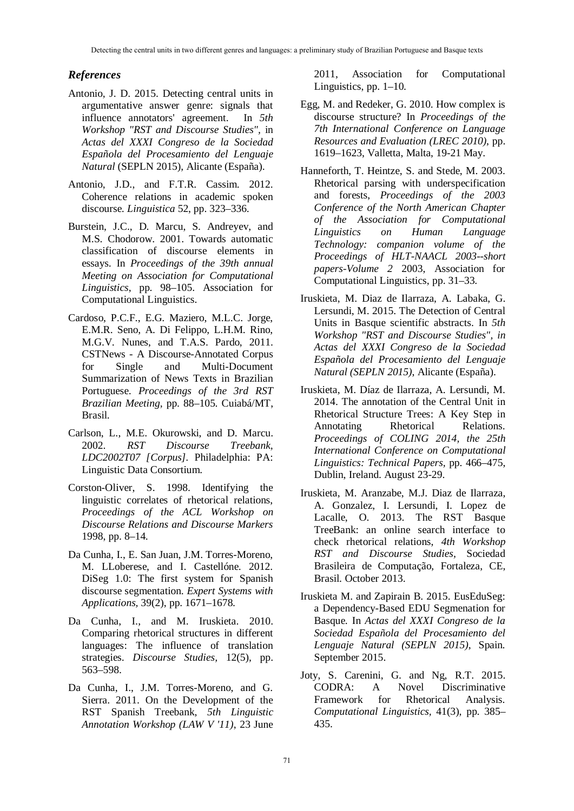### *References*

- Antonio, J. D. 2015. Detecting central units in argumentative answer genre: signals that influence annotators' agreement. In *5th Workshop "RST and Discourse Studies",* in *Actas del XXXI Congreso de la Sociedad Española del Procesamiento del Lenguaje Natural* (SEPLN 2015), Alicante (España).
- Antonio, J.D., and F.T.R. Cassim. 2012. Coherence relations in academic spoken discourse. *Linguistica* 52, pp. 323–336.
- Burstein, J.C., D. Marcu, S. Andreyev, and M.S. Chodorow. 2001. Towards automatic classification of discourse elements in essays. In *Proceedings of the 39th annual Meeting on Association for Computational Linguistics*, pp. 98–105. Association for Computational Linguistics.
- Cardoso, P.C.F., E.G. Maziero, M.L.C. Jorge, E.M.R. Seno, A. Di Felippo, L.H.M. Rino, M.G.V. Nunes, and T.A.S. Pardo, 2011. CSTNews - A Discourse-Annotated Corpus for Single and Multi-Document Summarization of News Texts in Brazilian Portuguese. *Proceedings of the 3rd RST Brazilian Meeting*, pp. 88–105. Cuiabá/MT, Brasil.
- Carlson, L., M.E. Okurowski, and D. Marcu. 2002. *RST Discourse Treebank, LDC2002T07 [Corpus].* Philadelphia: PA: Linguistic Data Consortium.
- Corston-Oliver, S. 1998. Identifying the linguistic correlates of rhetorical relations, *Proceedings of the ACL Workshop on Discourse Relations and Discourse Markers* 1998, pp. 8–14.
- Da Cunha, I., E. San Juan, J.M. Torres-Moreno, M. LLoberese, and I. Castellóne. 2012. DiSeg 1.0: The first system for Spanish discourse segmentation. *Expert Systems with Applications,* 39(2), pp. 1671–1678.
- Da Cunha, I., and M. Iruskieta. 2010. Comparing rhetorical structures in different languages: The influence of translation strategies. *Discourse Studies,* 12(5), pp. 563–598.
- Da Cunha, I., J.M. Torres-Moreno, and G. Sierra. 2011. On the Development of the RST Spanish Treebank, *5th Linguistic Annotation Workshop (LAW V '11)*, 23 June

2011, Association for Computational Linguistics, pp. 1–10.

- Egg, M. and Redeker, G. 2010. How complex is discourse structure? In *Proceedings of the 7th International Conference on Language Resources and Evaluation (LREC 2010)*, pp. 1619–1623, Valletta, Malta, 19-21 May.
- Hanneforth, T. Heintze, S. and Stede, M. 2003. Rhetorical parsing with underspecification and forests, *Proceedings of the 2003 Conference of the North American Chapter of the Association for Computational Linguistics on Human Language Technology: companion volume of the Proceedings of HLT-NAACL 2003--short papers-Volume 2* 2003, Association for Computational Linguistics, pp. 31–33.
- Iruskieta, M. Diaz de Ilarraza, A. Labaka, G. Lersundi, M. 2015. The Detection of Central Units in Basque scientific abstracts. In *5th Workshop "RST and Discourse Studies", in Actas del XXXI Congreso de la Sociedad Española del Procesamiento del Lenguaje Natural (SEPLN 2015)*, Alicante (España).
- Iruskieta, M. Díaz de Ilarraza, A. Lersundi, M. 2014. The annotation of the Central Unit in Rhetorical Structure Trees: A Key Step in Annotating Rhetorical Relations. *Proceedings of COLING 2014, the 25th International Conference on Computational Linguistics: Technical Papers,* pp. 466–475, Dublin, Ireland. August 23-29.
- Iruskieta, M. Aranzabe, M.J. Diaz de Ilarraza, A. Gonzalez, I. Lersundi, I. Lopez de Lacalle, O. 2013. The RST Basque TreeBank: an online search interface to check rhetorical relations, *4th Workshop RST and Discourse Studies,* Sociedad Brasileira de Computação, Fortaleza, CE, Brasil. October 2013.
- Iruskieta M. and Zapirain B. 2015. EusEduSeg: a Dependency-Based EDU Segmenation for Basque. In *Actas del XXXI Congreso de la Sociedad Española del Procesamiento del Lenguaje Natural (SEPLN 2015)*, Spain. September 2015.
- Joty, S. Carenini, G. and Ng, R.T. 2015. CODRA: A Novel Discriminative Framework for Rhetorical Analysis. *Computational Linguistics,* 41(3), pp. 385– 435.